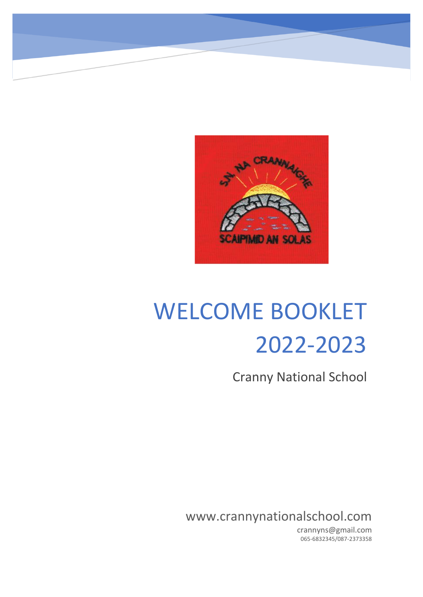

# WELCOME BOOKLET 2022-2023

Cranny National School

www.crannynationalschool.com

crannyns@gmail.com 065-6832345/087-2373358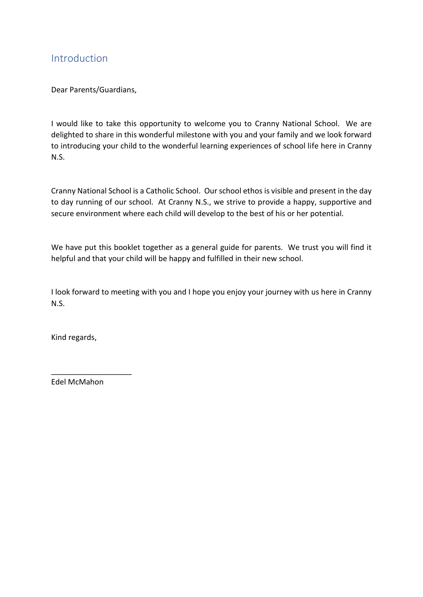## Introduction

Dear Parents/Guardians,

I would like to take this opportunity to welcome you to Cranny National School. We are delighted to share in this wonderful milestone with you and your family and we look forward to introducing your child to the wonderful learning experiences of school life here in Cranny N.S.

Cranny National School is a Catholic School. Our school ethos is visible and present in the day to day running of our school. At Cranny N.S., we strive to provide a happy, supportive and secure environment where each child will develop to the best of his or her potential.

We have put this booklet together as a general guide for parents. We trust you will find it helpful and that your child will be happy and fulfilled in their new school.

I look forward to meeting with you and I hope you enjoy your journey with us here in Cranny N.S.

Kind regards,

Edel McMahon

\_\_\_\_\_\_\_\_\_\_\_\_\_\_\_\_\_\_\_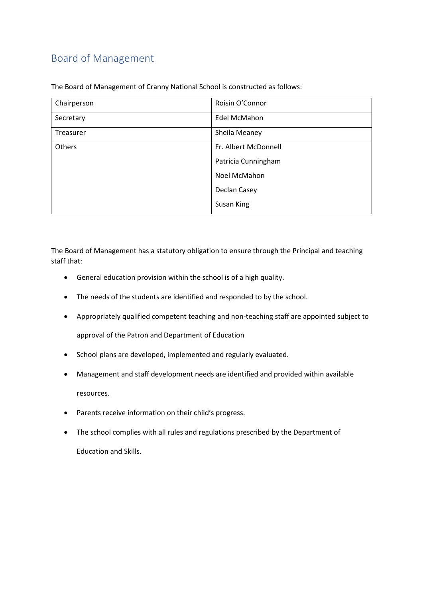# Board of Management

| Chairperson      | Roisin O'Connor      |
|------------------|----------------------|
| Secretary        | Edel McMahon         |
| <b>Treasurer</b> | Sheila Meaney        |
| Others           | Fr. Albert McDonnell |
|                  | Patricia Cunningham  |
|                  | Noel McMahon         |
|                  | Declan Casey         |
|                  | Susan King           |

The Board of Management of Cranny National School is constructed as follows:

The Board of Management has a statutory obligation to ensure through the Principal and teaching staff that:

- General education provision within the school is of a high quality.
- The needs of the students are identified and responded to by the school.
- Appropriately qualified competent teaching and non-teaching staff are appointed subject to

approval of the Patron and Department of Education

- School plans are developed, implemented and regularly evaluated.
- Management and staff development needs are identified and provided within available resources.
- Parents receive information on their child's progress.
- The school complies with all rules and regulations prescribed by the Department of

Education and Skills.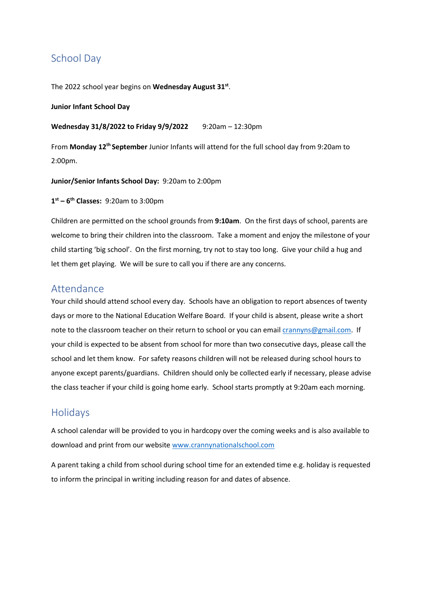## School Day

The 2022 school year begins on **Wednesday August 31st** .

#### **Junior Infant School Day**

#### **Wednesday 31/8/2022 to Friday 9/9/2022** 9:20am – 12:30pm

From Monday 12<sup>th</sup> September Junior Infants will attend for the full school day from 9:20am to 2:00pm.

#### **Junior/Senior Infants School Day:** 9:20am to 2:00pm

#### **1 st – 6 th Classes:** 9:20am to 3:00pm

Children are permitted on the school grounds from **9:10am**. On the first days of school, parents are welcome to bring their children into the classroom. Take a moment and enjoy the milestone of your child starting 'big school'. On the first morning, try not to stay too long. Give your child a hug and let them get playing. We will be sure to call you if there are any concerns.

#### Attendance

Your child should attend school every day. Schools have an obligation to report absences of twenty days or more to the National Education Welfare Board. If your child is absent, please write a short note to the classroom teacher on their return to school or you can emai[l crannyns@gmail.com.](mailto:crannyns@gmail.com) If your child is expected to be absent from school for more than two consecutive days, please call the school and let them know. For safety reasons children will not be released during school hours to anyone except parents/guardians. Children should only be collected early if necessary, please advise the class teacher if your child is going home early. School starts promptly at 9:20am each morning.

## Holidays

A school calendar will be provided to you in hardcopy over the coming weeks and is also available to download and print from our website [www.crannynationalschool.com](http://www.crannynationalschool.com/)

A parent taking a child from school during school time for an extended time e.g. holiday is requested to inform the principal in writing including reason for and dates of absence.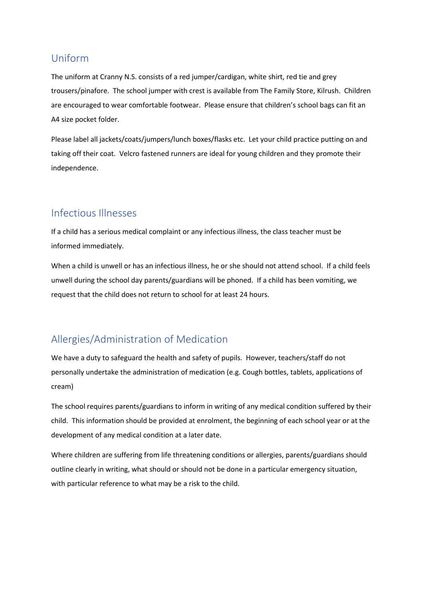## Uniform

The uniform at Cranny N.S. consists of a red jumper/cardigan, white shirt, red tie and grey trousers/pinafore. The school jumper with crest is available from The Family Store, Kilrush. Children are encouraged to wear comfortable footwear. Please ensure that children's school bags can fit an A4 size pocket folder.

Please label all jackets/coats/jumpers/lunch boxes/flasks etc. Let your child practice putting on and taking off their coat. Velcro fastened runners are ideal for young children and they promote their independence.

## Infectious Illnesses

If a child has a serious medical complaint or any infectious illness, the class teacher must be informed immediately.

When a child is unwell or has an infectious illness, he or she should not attend school. If a child feels unwell during the school day parents/guardians will be phoned. If a child has been vomiting, we request that the child does not return to school for at least 24 hours.

# Allergies/Administration of Medication

We have a duty to safeguard the health and safety of pupils. However, teachers/staff do not personally undertake the administration of medication (e.g. Cough bottles, tablets, applications of cream)

The school requires parents/guardians to inform in writing of any medical condition suffered by their child. This information should be provided at enrolment, the beginning of each school year or at the development of any medical condition at a later date.

Where children are suffering from life threatening conditions or allergies, parents/guardians should outline clearly in writing, what should or should not be done in a particular emergency situation, with particular reference to what may be a risk to the child.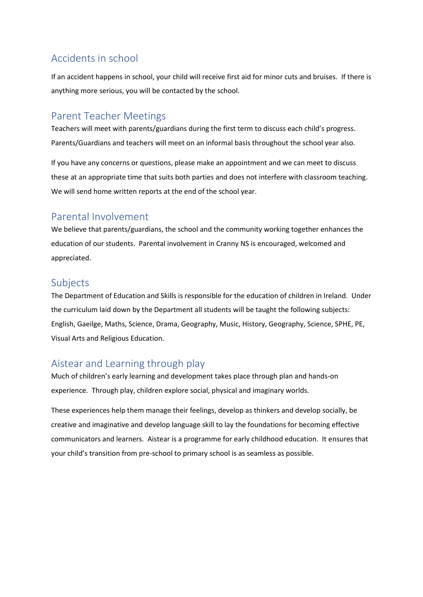# Accidents in school

If an accident happens in school, your child will receive first aid for minor cuts and bruises. If there is anything more serious, you will be contacted by the school.

## Parent Teacher Meetings

Teachers will meet with parents/guardians during the first term to discuss each child's progress. Parents/Guardians and teachers will meet on an informal basis throughout the school year also.

If you have any concerns or questions, please make an appointment and we can meet to discuss these at an appropriate time that suits both parties and does not interfere with classroom teaching. We will send home written reports at the end of the school year.

## Parental Involvement

We believe that parents/guardians, the school and the community working together enhances the education of our students. Parental involvement in Cranny NS is encouraged, welcomed and appreciated.

## Subjects

The Department of Education and Skills is responsible for the education of children in Ireland. Under the curriculum laid down by the Department all students will be taught the following subjects: English, Gaeilge, Maths, Science, Drama, Geography, Music, History, Geography, Science, SPHE, PE, Visual Arts and Religious Education.

# Aistear and Learning through play

Much of children's early learning and development takes place through plan and hands-on experience. Through play, children explore social, physical and imaginary worlds.

These experiences help them manage their feelings, develop as thinkers and develop socially, be creative and imaginative and develop language skill to lay the foundations for becoming effective communicators and learners. Aistear is a programme for early childhood education. It ensures that your child's transition from pre-school to primary school is as seamless as possible.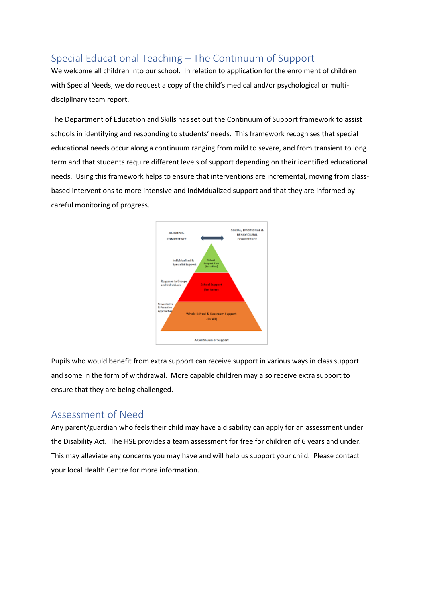# Special Educational Teaching – The Continuum of Support

We welcome all children into our school. In relation to application for the enrolment of children with Special Needs, we do request a copy of the child's medical and/or psychological or multidisciplinary team report.

The Department of Education and Skills has set out the Continuum of Support framework to assist schools in identifying and responding to students' needs. This framework recognises that special educational needs occur along a continuum ranging from mild to severe, and from transient to long term and that students require different levels of support depending on their identified educational needs. Using this framework helps to ensure that interventions are incremental, moving from classbased interventions to more intensive and individualized support and that they are informed by careful monitoring of progress.



Pupils who would benefit from extra support can receive support in various ways in class support and some in the form of withdrawal. More capable children may also receive extra support to ensure that they are being challenged.

#### Assessment of Need

Any parent/guardian who feels their child may have a disability can apply for an assessment under the Disability Act. The HSE provides a team assessment for free for children of 6 years and under. This may alleviate any concerns you may have and will help us support your child. Please contact your local Health Centre for more information.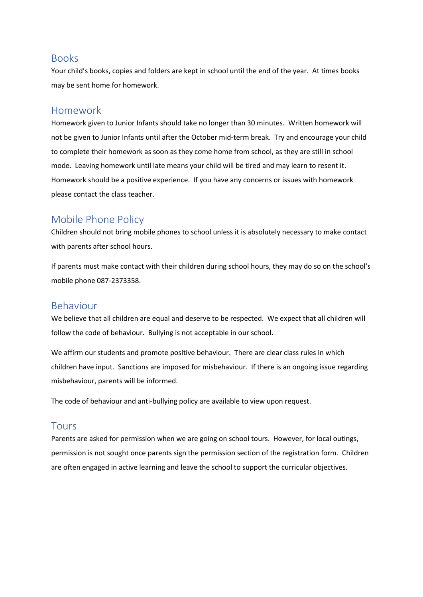#### Books

Your child's books, copies and folders are kept in school until the end of the year. At times books may be sent home for homework.

#### Homework

Homework given to Junior Infants should take no longer than 30 minutes. Written homework will not be given to Junior Infants until after the October mid-term break. Try and encourage your child to complete their homework as soon as they come home from school, as they are still in school mode. Leaving homework until late means your child will be tired and may learn to resent it. Homework should be a positive experience. If you have any concerns or issues with homework please contact the class teacher.

## Mobile Phone Policy

Children should not bring mobile phones to school unless it is absolutely necessary to make contact with parents after school hours.

If parents must make contact with their children during school hours, they may do so on the school's mobile phone 087-2373358.

#### Behaviour

We believe that all children are equal and deserve to be respected. We expect that all children will follow the code of behaviour. Bullying is not acceptable in our school.

We affirm our students and promote positive behaviour. There are clear class rules in which children have input. Sanctions are imposed for misbehaviour. If there is an ongoing issue regarding misbehaviour, parents will be informed.

The code of behaviour and anti-bullying policy are available to view upon request.

#### Tours

Parents are asked for permission when we are going on school tours. However, for local outings, permission is not sought once parents sign the permission section of the registration form. Children are often engaged in active learning and leave the school to support the curricular objectives.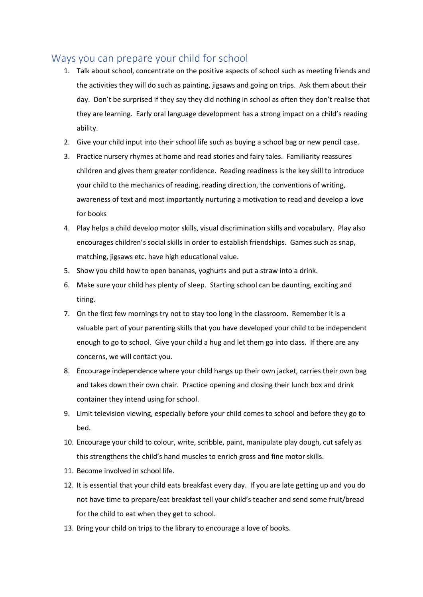### Ways you can prepare your child for school

- 1. Talk about school, concentrate on the positive aspects of school such as meeting friends and the activities they will do such as painting, jigsaws and going on trips. Ask them about their day. Don't be surprised if they say they did nothing in school as often they don't realise that they are learning. Early oral language development has a strong impact on a child's reading ability.
- 2. Give your child input into their school life such as buying a school bag or new pencil case.
- 3. Practice nursery rhymes at home and read stories and fairy tales. Familiarity reassures children and gives them greater confidence. Reading readiness is the key skill to introduce your child to the mechanics of reading, reading direction, the conventions of writing, awareness of text and most importantly nurturing a motivation to read and develop a love for books
- 4. Play helps a child develop motor skills, visual discrimination skills and vocabulary. Play also encourages children's social skills in order to establish friendships. Games such as snap, matching, jigsaws etc. have high educational value.
- 5. Show you child how to open bananas, yoghurts and put a straw into a drink.
- 6. Make sure your child has plenty of sleep. Starting school can be daunting, exciting and tiring.
- 7. On the first few mornings try not to stay too long in the classroom. Remember it is a valuable part of your parenting skills that you have developed your child to be independent enough to go to school. Give your child a hug and let them go into class. If there are any concerns, we will contact you.
- 8. Encourage independence where your child hangs up their own jacket, carries their own bag and takes down their own chair. Practice opening and closing their lunch box and drink container they intend using for school.
- 9. Limit television viewing, especially before your child comes to school and before they go to bed.
- 10. Encourage your child to colour, write, scribble, paint, manipulate play dough, cut safely as this strengthens the child's hand muscles to enrich gross and fine motor skills.
- 11. Become involved in school life.
- 12. It is essential that your child eats breakfast every day. If you are late getting up and you do not have time to prepare/eat breakfast tell your child's teacher and send some fruit/bread for the child to eat when they get to school.
- 13. Bring your child on trips to the library to encourage a love of books.